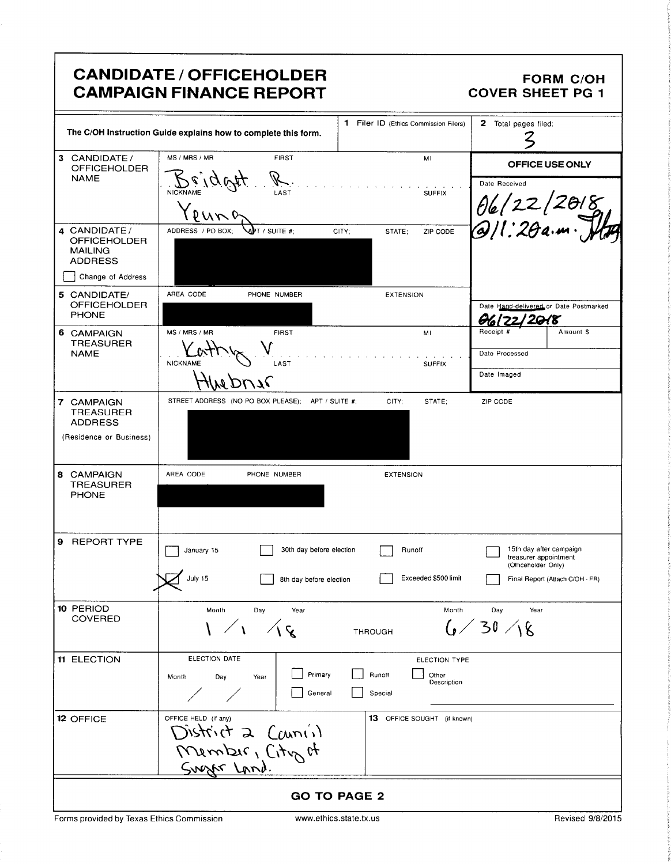# CANDIDATE / OFFICEHOLDER<br>
CAMPAIGN FINANCE REPORT COVER SHEET PG 1 **CAMPAIGN FINANCE REPORT**

|                                                                                              | The C/OH Instruction Guide explains how to complete this form. | 1 Filer ID (Ethics Commission Filers) | Total pages filed:<br>2.                                                |  |  |  |  |
|----------------------------------------------------------------------------------------------|----------------------------------------------------------------|---------------------------------------|-------------------------------------------------------------------------|--|--|--|--|
| 3 CANDIDATE/<br><b>OFFICEHOLDER</b><br><b>NAME</b>                                           | MS / MRS / MR<br><b>FIRST</b><br>PeV<br>LAST                   | MI<br><b>SUFFIX</b>                   | <b>OFFICE USE ONLY</b><br>Date Received                                 |  |  |  |  |
|                                                                                              |                                                                |                                       | 06/22/2018<br>@11:20a.m. HA                                             |  |  |  |  |
| 4 CANDIDATE/<br><b>OFFICEHOLDER</b><br><b>MAILING</b><br><b>ADDRESS</b><br>Change of Address | ADDRESS / PO BOX;<br>APT / SUITE #;                            | ZIP CODE<br>CITY;<br>STATE;           |                                                                         |  |  |  |  |
|                                                                                              |                                                                |                                       |                                                                         |  |  |  |  |
| 5 CANDIDATE/<br><b>OFFICEHOLDER</b><br><b>PHONE</b>                                          | AREA CODE<br>PHONE NUMBER                                      | <b>EXTENSION</b>                      | Date Hand-delivered or Date Postmarked<br>2018                          |  |  |  |  |
| 6 CAMPAIGN<br>TREASURER                                                                      | MS / MRS / MR<br><b>FIRST</b>                                  | MI                                    | Receipt #<br>Amount \$                                                  |  |  |  |  |
| NAME                                                                                         | <b>NICKNAME</b><br>LAST                                        | <b>SUFFIX</b>                         | Date Processed                                                          |  |  |  |  |
|                                                                                              |                                                                |                                       | Date Imaged                                                             |  |  |  |  |
| 7 CAMPAIGN<br>TREASURER<br><b>ADDRESS</b><br>(Residence or Business)                         | STREET ADDRESS (NO PO BOX PLEASE); APT / SUITE #;              | STATE;<br>CITY;                       | ZIP CODE                                                                |  |  |  |  |
| 8 CAMPAIGN<br>TREASURER<br><b>PHONE</b>                                                      | AREA CODE<br>PHONE NUMBER                                      | <b>EXTENSION</b>                      |                                                                         |  |  |  |  |
| 9<br><b>REPORT TYPE</b>                                                                      | 30th day before election<br>January 15                         | Runoff                                | 15th day after campaign<br>treasurer appointment<br>(Officeholder Only) |  |  |  |  |
|                                                                                              | July 15<br>8th day before election                             | Exceeded \$500 limit                  | Final Report (Attach C/OH - FR)                                         |  |  |  |  |
| 10 PERIOD                                                                                    | Month<br>Day<br>Year                                           | Month                                 | Day<br>Year                                                             |  |  |  |  |
| <b>COVERED</b>                                                                               | $\sqrt{1}$<br>$\sqrt{8}$                                       | <b>THROUGH</b>                        | 6/30/18                                                                 |  |  |  |  |
| <b>11 ELECTION</b>                                                                           | ELECTION DATE                                                  | ELECTION TYPE                         |                                                                         |  |  |  |  |
|                                                                                              | Primary<br>Month<br>Day<br>Year                                | Runoff<br>Other                       |                                                                         |  |  |  |  |
|                                                                                              | General                                                        | Description<br>Special                |                                                                         |  |  |  |  |
| 12 OFFICE                                                                                    | OFFICE HELD (if any)<br>District 2 Canil                       | 13 OFFICE SOUGHT (if known)           |                                                                         |  |  |  |  |
|                                                                                              |                                                                |                                       |                                                                         |  |  |  |  |
|                                                                                              | Member, City of                                                |                                       |                                                                         |  |  |  |  |
| <b>GO TO PAGE 2</b>                                                                          |                                                                |                                       |                                                                         |  |  |  |  |

Forms provided by Texas Ethics Commission www.ethics.state.tx.us Revised 9/8/2015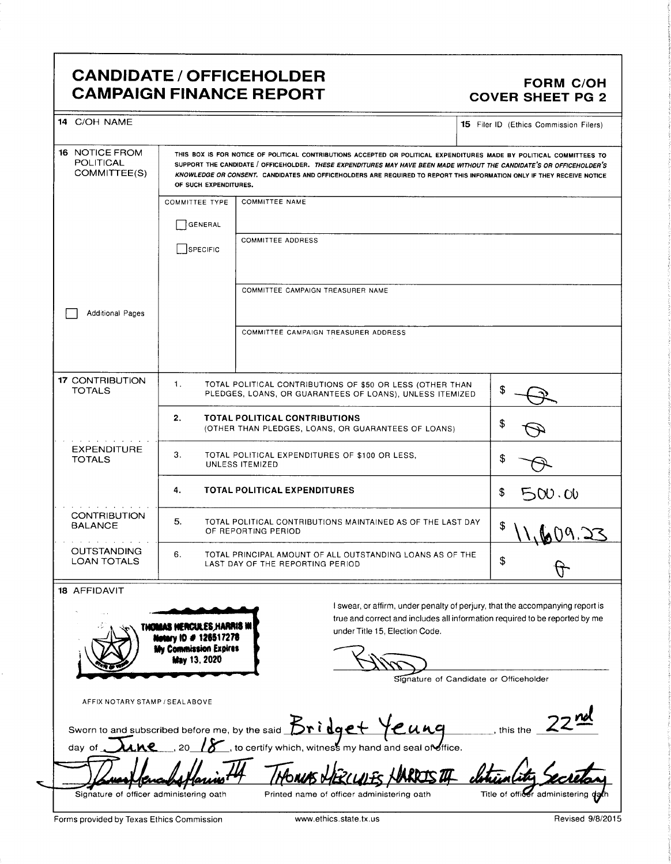# CANDIDATE / OFFICEHOLDER<br>CAMPAIGN FINANCE REPORT CAMPAIGN FINANCE REPORT **CAMPAIGN FINANCE REPORT**

| <b>CANDIDATE / OFFICEHOLDER</b><br>FORM C/OH<br>COVER SHEET PG 2<br><b>CAMPAIGN FINANCE REPORT</b><br>14 C/OH NAME<br>15 Filer ID (Ethics Commission Filers)<br>16 NOTICE FROM<br>THIS BOX IS FOR NOTICE OF POLITICAL CONTRIBUTIONS ACCEPTED OR POLITICAL EXPENDITURES MADE BY POLITICAL COMMITTEES TO<br>SUPPORT THE CANDIDATE / OFFICEHOLDER. THESE EXPENDITURES MAY HAVE BEEN MADE WITHOUT THE CANDIDATE'S OR OF<br>POLITICAL<br>COMMITTEE(S)<br>KNOWLEDGE OR CONSENT. CANDIDATES AND OFFICEHOLDERS ARE REQUIRED TO REPORT THIS INFORMATION ONLY IF THEY RECEIVE NOTICE<br>OF SUCH EXPENDITURES.<br>COMMITTEE TYPE   COMMITTEE NAME<br>GENERAL<br>COMMITTEE ADDRESS<br>$\Box$ SPECIFIC<br>COMMITTEE CAMPAIGN TREASURER NAME<br>Additional Pages<br>COMMITTEE CAMPAIGN TREASURER ADDRESS<br>17 CONTRIBUTION<br>TOTALS<br>. TOTAL POLITICAL CONTRIBUTIONS OF \$50 OR LESS (OTHER THAN PLEDGES, LOANS, OR GUARANTEES OF LOANS), UNLESS ITEMIZED<br>$\rightarrow$<br>2. TOTAL POLITICAL CONTRIBUTIONS<br>(OTHER THAN PLEDGES, LOANS, OR GUARANTEES OF LOANS)<br>$\mathscr{D}$<br>EXPENDITURE<br>  TOTALS<br>3. TOTAL POLITICAL EXPENDITURES OF \$100 OR LESS,<br>UNLESS ITEMIZED<br>$\mathcal{A}$<br>4. TOTAL POLITICAL EXPENDITURES<br>  \$ 500.00<br>CONTRIBUTION<br>BALANCE<br>5. TOTAL POLITICAL CONTRIBUTIONS MAINTAINED AS OF THE LAST DAY \$<br>11609.23<br><b>OUTSTANDING</b><br>LOAN TOTALS<br>. TOTAL PRINCIPAL AMOUNT OF ALL OUTSTANDING LOANS AS OF THE<br>LAST DAY OF THE REPORTING PERIOD<br>18 AFFIDAVIT<br>l swear, or affirm, under penalty of perjury, that the accompanying report is<br>true and correct and includes all information required to be reported by me<br>under Title 15, Election Code.<br>$\begin{array}{c}\n\hline\n\end{array}$<br>THOMAS HERCULES HARRIS IN<br>Motory 10 # 126517278<br>My Commission Expires<br>May 13, 2020<br>Killey<br>Signature of Candidate or Officeholder<br>AFFIX NOTARY STAMP / SEALABOVE<br>Sworn to and subscribed before me, by the said $Briiget \, \overline{\phantom{a} }$<br>day of $\overline{\phantom{a}}$ this the $\overline{\phantom{a}}$ and $\overline{\phantom{a}}$ and $\overline{\phantom{a}}$ and $\overline{\phantom{a}}$ and $\overline{\phantom{a}}$ and $\overline{\phantom{a}}$ and $\overline{\phantom{a}}$ and $\overline{\phantom{a}}$ and<br>THOMAS HERCULES HARRISTI<br>Printed name of officer administering oath<br>Signature of officer administering oath<br>Title of officer administering dat<br>Revised 9/8/2015<br>www.ethics.state.tx.us<br>Forms provided by Texas Ethics Commission |  |
|-------------------------------------------------------------------------------------------------------------------------------------------------------------------------------------------------------------------------------------------------------------------------------------------------------------------------------------------------------------------------------------------------------------------------------------------------------------------------------------------------------------------------------------------------------------------------------------------------------------------------------------------------------------------------------------------------------------------------------------------------------------------------------------------------------------------------------------------------------------------------------------------------------------------------------------------------------------------------------------------------------------------------------------------------------------------------------------------------------------------------------------------------------------------------------------------------------------------------------------------------------------------------------------------------------------------------------------------------------------------------------------------------------------------------------------------------------------------------------------------------------------------------------------------------------------------------------------------------------------------------------------------------------------------------------------------------------------------------------------------------------------------------------------------------------------------------------------------------------------------------------------------------------------------------------------------------------------------------------------------------------------------------------------------------------------------------------------------------------------------------------------------------------------------------------------------------------------------------------------------------------------------------------------------------------------------------------------------------------------------------------------------------------------------------------------------------------------------------------------------------------------------------------------------------------------------------------------------|--|
|                                                                                                                                                                                                                                                                                                                                                                                                                                                                                                                                                                                                                                                                                                                                                                                                                                                                                                                                                                                                                                                                                                                                                                                                                                                                                                                                                                                                                                                                                                                                                                                                                                                                                                                                                                                                                                                                                                                                                                                                                                                                                                                                                                                                                                                                                                                                                                                                                                                                                                                                                                                           |  |
|                                                                                                                                                                                                                                                                                                                                                                                                                                                                                                                                                                                                                                                                                                                                                                                                                                                                                                                                                                                                                                                                                                                                                                                                                                                                                                                                                                                                                                                                                                                                                                                                                                                                                                                                                                                                                                                                                                                                                                                                                                                                                                                                                                                                                                                                                                                                                                                                                                                                                                                                                                                           |  |
|                                                                                                                                                                                                                                                                                                                                                                                                                                                                                                                                                                                                                                                                                                                                                                                                                                                                                                                                                                                                                                                                                                                                                                                                                                                                                                                                                                                                                                                                                                                                                                                                                                                                                                                                                                                                                                                                                                                                                                                                                                                                                                                                                                                                                                                                                                                                                                                                                                                                                                                                                                                           |  |
|                                                                                                                                                                                                                                                                                                                                                                                                                                                                                                                                                                                                                                                                                                                                                                                                                                                                                                                                                                                                                                                                                                                                                                                                                                                                                                                                                                                                                                                                                                                                                                                                                                                                                                                                                                                                                                                                                                                                                                                                                                                                                                                                                                                                                                                                                                                                                                                                                                                                                                                                                                                           |  |
|                                                                                                                                                                                                                                                                                                                                                                                                                                                                                                                                                                                                                                                                                                                                                                                                                                                                                                                                                                                                                                                                                                                                                                                                                                                                                                                                                                                                                                                                                                                                                                                                                                                                                                                                                                                                                                                                                                                                                                                                                                                                                                                                                                                                                                                                                                                                                                                                                                                                                                                                                                                           |  |
|                                                                                                                                                                                                                                                                                                                                                                                                                                                                                                                                                                                                                                                                                                                                                                                                                                                                                                                                                                                                                                                                                                                                                                                                                                                                                                                                                                                                                                                                                                                                                                                                                                                                                                                                                                                                                                                                                                                                                                                                                                                                                                                                                                                                                                                                                                                                                                                                                                                                                                                                                                                           |  |
|                                                                                                                                                                                                                                                                                                                                                                                                                                                                                                                                                                                                                                                                                                                                                                                                                                                                                                                                                                                                                                                                                                                                                                                                                                                                                                                                                                                                                                                                                                                                                                                                                                                                                                                                                                                                                                                                                                                                                                                                                                                                                                                                                                                                                                                                                                                                                                                                                                                                                                                                                                                           |  |
|                                                                                                                                                                                                                                                                                                                                                                                                                                                                                                                                                                                                                                                                                                                                                                                                                                                                                                                                                                                                                                                                                                                                                                                                                                                                                                                                                                                                                                                                                                                                                                                                                                                                                                                                                                                                                                                                                                                                                                                                                                                                                                                                                                                                                                                                                                                                                                                                                                                                                                                                                                                           |  |
|                                                                                                                                                                                                                                                                                                                                                                                                                                                                                                                                                                                                                                                                                                                                                                                                                                                                                                                                                                                                                                                                                                                                                                                                                                                                                                                                                                                                                                                                                                                                                                                                                                                                                                                                                                                                                                                                                                                                                                                                                                                                                                                                                                                                                                                                                                                                                                                                                                                                                                                                                                                           |  |
|                                                                                                                                                                                                                                                                                                                                                                                                                                                                                                                                                                                                                                                                                                                                                                                                                                                                                                                                                                                                                                                                                                                                                                                                                                                                                                                                                                                                                                                                                                                                                                                                                                                                                                                                                                                                                                                                                                                                                                                                                                                                                                                                                                                                                                                                                                                                                                                                                                                                                                                                                                                           |  |
|                                                                                                                                                                                                                                                                                                                                                                                                                                                                                                                                                                                                                                                                                                                                                                                                                                                                                                                                                                                                                                                                                                                                                                                                                                                                                                                                                                                                                                                                                                                                                                                                                                                                                                                                                                                                                                                                                                                                                                                                                                                                                                                                                                                                                                                                                                                                                                                                                                                                                                                                                                                           |  |
|                                                                                                                                                                                                                                                                                                                                                                                                                                                                                                                                                                                                                                                                                                                                                                                                                                                                                                                                                                                                                                                                                                                                                                                                                                                                                                                                                                                                                                                                                                                                                                                                                                                                                                                                                                                                                                                                                                                                                                                                                                                                                                                                                                                                                                                                                                                                                                                                                                                                                                                                                                                           |  |
|                                                                                                                                                                                                                                                                                                                                                                                                                                                                                                                                                                                                                                                                                                                                                                                                                                                                                                                                                                                                                                                                                                                                                                                                                                                                                                                                                                                                                                                                                                                                                                                                                                                                                                                                                                                                                                                                                                                                                                                                                                                                                                                                                                                                                                                                                                                                                                                                                                                                                                                                                                                           |  |
|                                                                                                                                                                                                                                                                                                                                                                                                                                                                                                                                                                                                                                                                                                                                                                                                                                                                                                                                                                                                                                                                                                                                                                                                                                                                                                                                                                                                                                                                                                                                                                                                                                                                                                                                                                                                                                                                                                                                                                                                                                                                                                                                                                                                                                                                                                                                                                                                                                                                                                                                                                                           |  |
|                                                                                                                                                                                                                                                                                                                                                                                                                                                                                                                                                                                                                                                                                                                                                                                                                                                                                                                                                                                                                                                                                                                                                                                                                                                                                                                                                                                                                                                                                                                                                                                                                                                                                                                                                                                                                                                                                                                                                                                                                                                                                                                                                                                                                                                                                                                                                                                                                                                                                                                                                                                           |  |
|                                                                                                                                                                                                                                                                                                                                                                                                                                                                                                                                                                                                                                                                                                                                                                                                                                                                                                                                                                                                                                                                                                                                                                                                                                                                                                                                                                                                                                                                                                                                                                                                                                                                                                                                                                                                                                                                                                                                                                                                                                                                                                                                                                                                                                                                                                                                                                                                                                                                                                                                                                                           |  |
|                                                                                                                                                                                                                                                                                                                                                                                                                                                                                                                                                                                                                                                                                                                                                                                                                                                                                                                                                                                                                                                                                                                                                                                                                                                                                                                                                                                                                                                                                                                                                                                                                                                                                                                                                                                                                                                                                                                                                                                                                                                                                                                                                                                                                                                                                                                                                                                                                                                                                                                                                                                           |  |
|                                                                                                                                                                                                                                                                                                                                                                                                                                                                                                                                                                                                                                                                                                                                                                                                                                                                                                                                                                                                                                                                                                                                                                                                                                                                                                                                                                                                                                                                                                                                                                                                                                                                                                                                                                                                                                                                                                                                                                                                                                                                                                                                                                                                                                                                                                                                                                                                                                                                                                                                                                                           |  |
|                                                                                                                                                                                                                                                                                                                                                                                                                                                                                                                                                                                                                                                                                                                                                                                                                                                                                                                                                                                                                                                                                                                                                                                                                                                                                                                                                                                                                                                                                                                                                                                                                                                                                                                                                                                                                                                                                                                                                                                                                                                                                                                                                                                                                                                                                                                                                                                                                                                                                                                                                                                           |  |
|                                                                                                                                                                                                                                                                                                                                                                                                                                                                                                                                                                                                                                                                                                                                                                                                                                                                                                                                                                                                                                                                                                                                                                                                                                                                                                                                                                                                                                                                                                                                                                                                                                                                                                                                                                                                                                                                                                                                                                                                                                                                                                                                                                                                                                                                                                                                                                                                                                                                                                                                                                                           |  |
|                                                                                                                                                                                                                                                                                                                                                                                                                                                                                                                                                                                                                                                                                                                                                                                                                                                                                                                                                                                                                                                                                                                                                                                                                                                                                                                                                                                                                                                                                                                                                                                                                                                                                                                                                                                                                                                                                                                                                                                                                                                                                                                                                                                                                                                                                                                                                                                                                                                                                                                                                                                           |  |
|                                                                                                                                                                                                                                                                                                                                                                                                                                                                                                                                                                                                                                                                                                                                                                                                                                                                                                                                                                                                                                                                                                                                                                                                                                                                                                                                                                                                                                                                                                                                                                                                                                                                                                                                                                                                                                                                                                                                                                                                                                                                                                                                                                                                                                                                                                                                                                                                                                                                                                                                                                                           |  |
|                                                                                                                                                                                                                                                                                                                                                                                                                                                                                                                                                                                                                                                                                                                                                                                                                                                                                                                                                                                                                                                                                                                                                                                                                                                                                                                                                                                                                                                                                                                                                                                                                                                                                                                                                                                                                                                                                                                                                                                                                                                                                                                                                                                                                                                                                                                                                                                                                                                                                                                                                                                           |  |
|                                                                                                                                                                                                                                                                                                                                                                                                                                                                                                                                                                                                                                                                                                                                                                                                                                                                                                                                                                                                                                                                                                                                                                                                                                                                                                                                                                                                                                                                                                                                                                                                                                                                                                                                                                                                                                                                                                                                                                                                                                                                                                                                                                                                                                                                                                                                                                                                                                                                                                                                                                                           |  |
|                                                                                                                                                                                                                                                                                                                                                                                                                                                                                                                                                                                                                                                                                                                                                                                                                                                                                                                                                                                                                                                                                                                                                                                                                                                                                                                                                                                                                                                                                                                                                                                                                                                                                                                                                                                                                                                                                                                                                                                                                                                                                                                                                                                                                                                                                                                                                                                                                                                                                                                                                                                           |  |
|                                                                                                                                                                                                                                                                                                                                                                                                                                                                                                                                                                                                                                                                                                                                                                                                                                                                                                                                                                                                                                                                                                                                                                                                                                                                                                                                                                                                                                                                                                                                                                                                                                                                                                                                                                                                                                                                                                                                                                                                                                                                                                                                                                                                                                                                                                                                                                                                                                                                                                                                                                                           |  |
|                                                                                                                                                                                                                                                                                                                                                                                                                                                                                                                                                                                                                                                                                                                                                                                                                                                                                                                                                                                                                                                                                                                                                                                                                                                                                                                                                                                                                                                                                                                                                                                                                                                                                                                                                                                                                                                                                                                                                                                                                                                                                                                                                                                                                                                                                                                                                                                                                                                                                                                                                                                           |  |
|                                                                                                                                                                                                                                                                                                                                                                                                                                                                                                                                                                                                                                                                                                                                                                                                                                                                                                                                                                                                                                                                                                                                                                                                                                                                                                                                                                                                                                                                                                                                                                                                                                                                                                                                                                                                                                                                                                                                                                                                                                                                                                                                                                                                                                                                                                                                                                                                                                                                                                                                                                                           |  |
|                                                                                                                                                                                                                                                                                                                                                                                                                                                                                                                                                                                                                                                                                                                                                                                                                                                                                                                                                                                                                                                                                                                                                                                                                                                                                                                                                                                                                                                                                                                                                                                                                                                                                                                                                                                                                                                                                                                                                                                                                                                                                                                                                                                                                                                                                                                                                                                                                                                                                                                                                                                           |  |
|                                                                                                                                                                                                                                                                                                                                                                                                                                                                                                                                                                                                                                                                                                                                                                                                                                                                                                                                                                                                                                                                                                                                                                                                                                                                                                                                                                                                                                                                                                                                                                                                                                                                                                                                                                                                                                                                                                                                                                                                                                                                                                                                                                                                                                                                                                                                                                                                                                                                                                                                                                                           |  |
|                                                                                                                                                                                                                                                                                                                                                                                                                                                                                                                                                                                                                                                                                                                                                                                                                                                                                                                                                                                                                                                                                                                                                                                                                                                                                                                                                                                                                                                                                                                                                                                                                                                                                                                                                                                                                                                                                                                                                                                                                                                                                                                                                                                                                                                                                                                                                                                                                                                                                                                                                                                           |  |